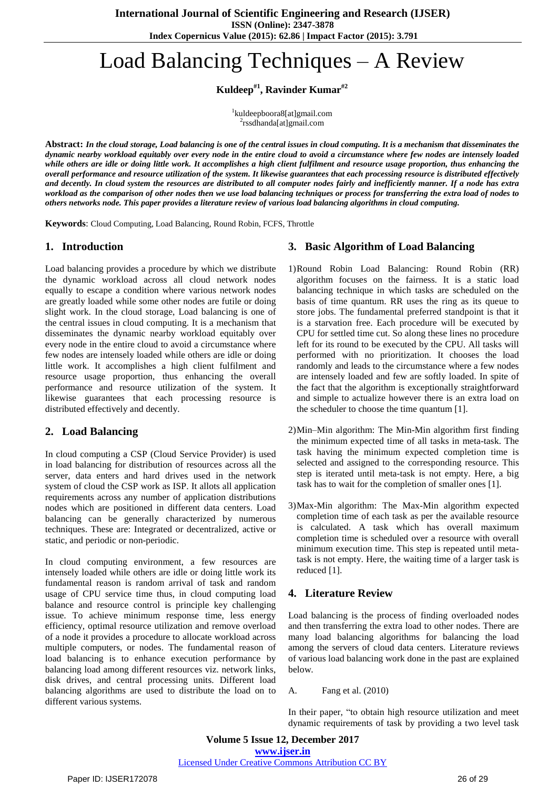# Load Balancing Techniques – A Review

**Kuldeep#1 , Ravinder Kumar#2**

1 kuldeepboora8[at]gmail.com <sup>2</sup>rssdhanda[at]gmail.com

Abstract: In the cloud storage, Load balancing is one of the central issues in cloud computing. It is a mechanism that disseminates the dynamic nearby workload equitably over every node in the entire cloud to avoid a circumstance where few nodes are intensely loaded while others are idle or doing little work. It accomplishes a high client fulfilment and resource usage proportion, thus enhancing the overall performance and resource utilization of the system. It likewise guarantees that each processing resource is distributed effectively and decently. In cloud system the resources are distributed to all computer nodes fairly and inefficiently manner. If a node has extra workload as the comparison of other nodes then we use load balancing techniques or process for transferring the extra load of nodes to others networks node. This paper provides a literature review of various load balancing algorithms in cloud computing.

**Keywords**: Cloud Computing, Load Balancing, Round Robin, FCFS, Throttle

### **1. Introduction**

Load balancing provides a procedure by which we distribute the dynamic workload across all cloud network nodes equally to escape a condition where various network nodes are greatly loaded while some other nodes are futile or doing slight work. In the cloud storage, Load balancing is one of the central issues in cloud computing. It is a mechanism that disseminates the dynamic nearby workload equitably over every node in the entire cloud to avoid a circumstance where few nodes are intensely loaded while others are idle or doing little work. It accomplishes a high client fulfilment and resource usage proportion, thus enhancing the overall performance and resource utilization of the system. It likewise guarantees that each processing resource is distributed effectively and decently.

## **2. Load Balancing**

In cloud computing a CSP (Cloud Service Provider) is used in load balancing for distribution of resources across all the server, data enters and hard drives used in the network system of cloud the CSP work as ISP. It allots all application requirements across any number of application distributions nodes which are positioned in different data centers. Load balancing can be generally characterized by numerous techniques. These are: Integrated or decentralized, active or static, and periodic or non-periodic.

In cloud computing environment, a few resources are intensely loaded while others are idle or doing little work its fundamental reason is random arrival of task and random usage of CPU service time thus, in cloud computing load balance and resource control is principle key challenging issue. To achieve minimum response time, less energy efficiency, optimal resource utilization and remove overload of a node it provides a procedure to allocate workload across multiple computers, or nodes. The fundamental reason of load balancing is to enhance execution performance by balancing load among different resources viz. network links, disk drives, and central processing units. Different load balancing algorithms are used to distribute the load on to different various systems.

## **3. Basic Algorithm of Load Balancing**

- 1)Round Robin Load Balancing: Round Robin (RR) algorithm focuses on the fairness. It is a static load balancing technique in which tasks are scheduled on the basis of time quantum. RR uses the ring as its queue to store jobs. The fundamental preferred standpoint is that it is a starvation free. Each procedure will be executed by CPU for settled time cut. So along these lines no procedure left for its round to be executed by the CPU. All tasks will performed with no prioritization. It chooses the load randomly and leads to the circumstance where a few nodes are intensely loaded and few are softly loaded. In spite of the fact that the algorithm is exceptionally straightforward and simple to actualize however there is an extra load on the scheduler to choose the time quantum [1].
- 2)Min–Min algorithm: The Min-Min algorithm first finding the minimum expected time of all tasks in meta-task. The task having the minimum expected completion time is selected and assigned to the corresponding resource. This step is iterated until meta-task is not empty. Here, a big task has to wait for the completion of smaller ones [1].
- 3)Max-Min algorithm: The Max-Min algorithm expected completion time of each task as per the available resource is calculated. A task which has overall maximum completion time is scheduled over a resource with overall minimum execution time. This step is repeated until metatask is not empty. Here, the waiting time of a larger task is reduced [1].

## **4. Literature Review**

Load balancing is the process of finding overloaded nodes and then transferring the extra load to other nodes. There are many load balancing algorithms for balancing the load among the servers of cloud data centers. Literature reviews of various load balancing work done in the past are explained below.

#### A. Fang et al. (2010)

In their paper, "to obtain high resource utilization and meet dynamic requirements of task by providing a two level task

**Volume 5 Issue 12, December 2017 [www.ijser.in](file:///G:\www.ijser.in\Documents\www.ijser.in)** [Licensed Under Creative Commons Attribution CC BY](http://creativecommons.org/licenses/by/4.0/)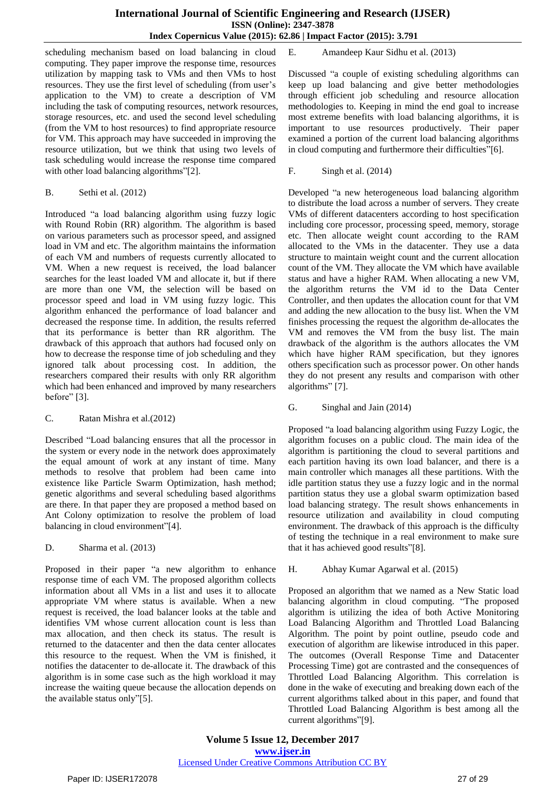scheduling mechanism based on load balancing in cloud computing. They paper improve the response time, resources utilization by mapping task to VMs and then VMs to host resources. They use the first level of scheduling (from user's application to the VM) to create a description of VM including the task of computing resources, network resources, storage resources, etc. and used the second level scheduling (from the VM to host resources) to find appropriate resource for VM. This approach may have succeeded in improving the resource utilization, but we think that using two levels of task scheduling would increase the response time compared with other load balancing algorithms"[2].

#### B. Sethi et al. (2012)

Introduced "a load balancing algorithm using fuzzy logic with Round Robin (RR) algorithm. The algorithm is based on various parameters such as processor speed, and assigned load in VM and etc. The algorithm maintains the information of each VM and numbers of requests currently allocated to VM. When a new request is received, the load balancer searches for the least loaded VM and allocate it, but if there are more than one VM, the selection will be based on processor speed and load in VM using fuzzy logic. This algorithm enhanced the performance of load balancer and decreased the response time. In addition, the results referred that its performance is better than RR algorithm. The drawback of this approach that authors had focused only on how to decrease the response time of job scheduling and they ignored talk about processing cost. In addition, the researchers compared their results with only RR algorithm which had been enhanced and improved by many researchers before" [3].

#### C. Ratan Mishra et al.(2012)

Described "Load balancing ensures that all the processor in the system or every node in the network does approximately the equal amount of work at any instant of time. Many methods to resolve that problem had been came into existence like Particle Swarm Optimization, hash method; genetic algorithms and several scheduling based algorithms are there. In that paper they are proposed a method based on Ant Colony optimization to resolve the problem of load balancing in cloud environment"[4].

#### D. Sharma et al. (2013)

Proposed in their paper "a new algorithm to enhance response time of each VM. The proposed algorithm collects information about all VMs in a list and uses it to allocate appropriate VM where status is available. When a new request is received, the load balancer looks at the table and identifies VM whose current allocation count is less than max allocation, and then check its status. The result is returned to the datacenter and then the data center allocates this resource to the request. When the VM is finished, it notifies the datacenter to de-allocate it. The drawback of this algorithm is in some case such as the high workload it may increase the waiting queue because the allocation depends on the available status only"[5].

E. Amandeep Kaur Sidhu et al. (2013)

Discussed "a couple of existing scheduling algorithms can keep up load balancing and give better methodologies through efficient job scheduling and resource allocation methodologies to. Keeping in mind the end goal to increase most extreme benefits with load balancing algorithms, it is important to use resources productively. Their paper examined a portion of the current load balancing algorithms in cloud computing and furthermore their difficulties"[6].

F. Singh et al. (2014)

Developed "a new heterogeneous load balancing algorithm to distribute the load across a number of servers. They create VMs of different datacenters according to host specification including core processor, processing speed, memory, storage etc. Then allocate weight count according to the RAM allocated to the VMs in the datacenter. They use a data structure to maintain weight count and the current allocation count of the VM. They allocate the VM which have available status and have a higher RAM. When allocating a new VM, the algorithm returns the VM id to the Data Center Controller, and then updates the allocation count for that VM and adding the new allocation to the busy list. When the VM finishes processing the request the algorithm de-allocates the VM and removes the VM from the busy list. The main drawback of the algorithm is the authors allocates the VM which have higher RAM specification, but they ignores others specification such as processor power. On other hands they do not present any results and comparison with other algorithms" [7].

#### G. Singhal and Jain (2014)

Proposed "a load balancing algorithm using Fuzzy Logic, the algorithm focuses on a public cloud. The main idea of the algorithm is partitioning the cloud to several partitions and each partition having its own load balancer, and there is a main controller which manages all these partitions. With the idle partition status they use a fuzzy logic and in the normal partition status they use a global swarm optimization based load balancing strategy. The result shows enhancements in resource utilization and availability in cloud computing environment. The drawback of this approach is the difficulty of testing the technique in a real environment to make sure that it has achieved good results"[8].

#### H. Abhay Kumar Agarwal et al. (2015)

Proposed an algorithm that we named as a New Static load balancing algorithm in cloud computing. "The proposed algorithm is utilizing the idea of both Active Monitoring Load Balancing Algorithm and Throttled Load Balancing Algorithm. The point by point outline, pseudo code and execution of algorithm are likewise introduced in this paper. The outcomes (Overall Response Time and Datacenter Processing Time) got are contrasted and the consequences of Throttled Load Balancing Algorithm. This correlation is done in the wake of executing and breaking down each of the current algorithms talked about in this paper, and found that Throttled Load Balancing Algorithm is best among all the current algorithms"[9].

**Volume 5 Issue 12, December 2017 [www.ijser.in](file:///G:\www.ijser.in\Documents\www.ijser.in)** [Licensed Under Creative Commons Attribution CC BY](http://creativecommons.org/licenses/by/4.0/)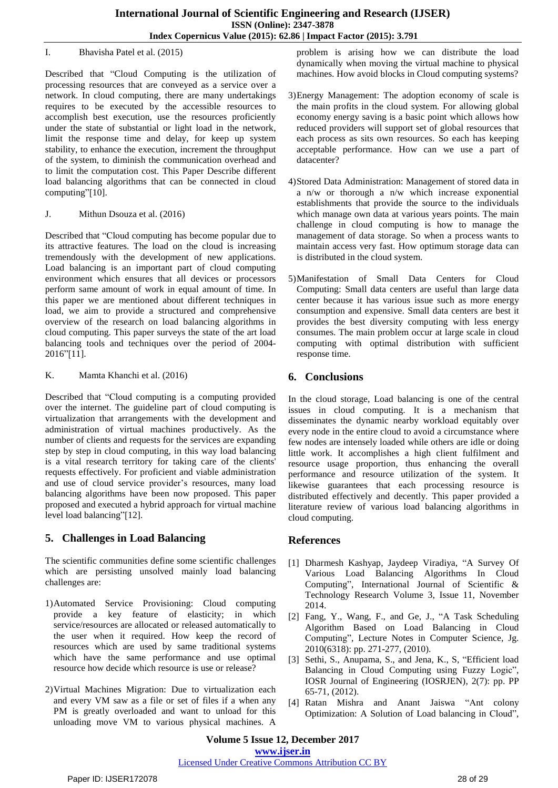#### I. Bhavisha Patel et al. (2015)

Described that "Cloud Computing is the utilization of processing resources that are conveyed as a service over a network. In cloud computing, there are many undertakings requires to be executed by the accessible resources to accomplish best execution, use the resources proficiently under the state of substantial or light load in the network, limit the response time and delay, for keep up system stability, to enhance the execution, increment the throughput of the system, to diminish the communication overhead and to limit the computation cost. This Paper Describe different load balancing algorithms that can be connected in cloud computing"[10].

J. Mithun Dsouza et al. (2016)

Described that "Cloud computing has become popular due to its attractive features. The load on the cloud is increasing tremendously with the development of new applications. Load balancing is an important part of cloud computing environment which ensures that all devices or processors perform same amount of work in equal amount of time. In this paper we are mentioned about different techniques in load, we aim to provide a structured and comprehensive overview of the research on load balancing algorithms in cloud computing. This paper surveys the state of the art load balancing tools and techniques over the period of 2004- 2016"[11].

K. Mamta Khanchi et al. (2016)

Described that "Cloud computing is a computing provided over the internet. The guideline part of cloud computing is virtualization that arrangements with the development and administration of virtual machines productively. As the number of clients and requests for the services are expanding step by step in cloud computing, in this way load balancing is a vital research territory for taking care of the clients' requests effectively. For proficient and viable administration and use of cloud service provider's resources, many load balancing algorithms have been now proposed. This paper proposed and executed a hybrid approach for virtual machine level load balancing"[12].

# **5. Challenges in Load Balancing**

The scientific communities define some scientific challenges which are persisting unsolved mainly load balancing challenges are:

- 1)Automated Service Provisioning: Cloud computing provide a key feature of elasticity; in which service/resources are allocated or released automatically to the user when it required. How keep the record of resources which are used by same traditional systems which have the same performance and use optimal resource how decide which resource is use or release?
- 2)Virtual Machines Migration: Due to virtualization each and every VM saw as a file or set of files if a when any PM is greatly overloaded and want to unload for this unloading move VM to various physical machines. A

problem is arising how we can distribute the load dynamically when moving the virtual machine to physical machines. How avoid blocks in Cloud computing systems?

- 3)Energy Management: The adoption economy of scale is the main profits in the cloud system. For allowing global economy energy saving is a basic point which allows how reduced providers will support set of global resources that each process as sits own resources. So each has keeping acceptable performance. How can we use a part of datacenter?
- 4)Stored Data Administration: Management of stored data in a n/w or thorough a n/w which increase exponential establishments that provide the source to the individuals which manage own data at various years points. The main challenge in cloud computing is how to manage the management of data storage. So when a process wants to maintain access very fast. How optimum storage data can is distributed in the cloud system.
- 5)Manifestation of Small Data Centers for Cloud Computing: Small data centers are useful than large data center because it has various issue such as more energy consumption and expensive. Small data centers are best it provides the best diversity computing with less energy consumes. The main problem occur at large scale in cloud computing with optimal distribution with sufficient response time.

# **6. Conclusions**

In the cloud storage, Load balancing is one of the central issues in cloud computing. It is a mechanism that disseminates the dynamic nearby workload equitably over every node in the entire cloud to avoid a circumstance where few nodes are intensely loaded while others are idle or doing little work. It accomplishes a high client fulfilment and resource usage proportion, thus enhancing the overall performance and resource utilization of the system. It likewise guarantees that each processing resource is distributed effectively and decently. This paper provided a literature review of various load balancing algorithms in cloud computing.

# **References**

- [1] Dharmesh Kashyap, Jaydeep Viradiya, "A Survey Of Various Load Balancing Algorithms In Cloud Computing", International Journal of Scientific & Technology Research Volume 3, Issue 11, November 2014.
- [2] Fang, Y., Wang, F., and Ge, J., "A Task Scheduling Algorithm Based on Load Balancing in Cloud Computing", Lecture Notes in Computer Science, Jg. 2010(6318): pp. 271-277, (2010).
- [3] Sethi, S., Anupama, S., and Jena, K., S, "Efficient load Balancing in Cloud Computing using Fuzzy Logic", IOSR Journal of Engineering (IOSRJEN), 2(7): pp. PP 65-71, (2012).
- [4] Ratan Mishra and Anant Jaiswa "Ant colony Optimization: A Solution of Load balancing in Cloud",